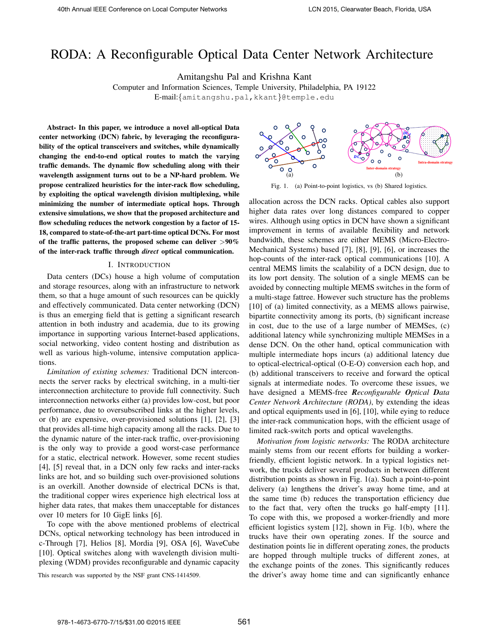# RODA: A Reconfigurable Optical Data Center Network Architecture

Amitangshu Pal and Krishna Kant

Computer and Information Sciences, Temple University, Philadelphia, PA 19122 ࡰ E-mail:{amitangshu.pal,kkant}@temple.edu

Abstract- In this paper, we introduce a novel all-optical Data center networking (DCN) fabric, by leveraging the reconfigurability of the optical transceivers and switches, while dynamically changing the end-to-end optical routes to match the varying traffic demands. The dynamic flow scheduling along with their wavelength assignment turns out to be a NP-hard problem. We propose centralized heuristics for the inter-rack flow scheduling, by exploiting the optical wavelength division multiplexing, while minimizing the number of intermediate optical hops. Through extensive simulations, we show that the proposed architecture and flow scheduling reduces the network congestion by a factor of 15- 18, compared to state-of-the-art part-time optical DCNs. For most of the traffic patterns, the proposed scheme can deliver  $>90\%$ of the inter-rack traffic through *direct* optical communication.

#### I. INTRODUCTION

Data centers (DCs) house a high volume of computation and storage resources, along with an infrastructure to network them, so that a huge amount of such resources can be quickly and effectively communicated. Data center networking (DCN) is thus an emerging field that is getting a significant research attention in both industry and academia, due to its growing importance in supporting various Internet-based applications, social networking, video content hosting and distribution as well as various high-volume, intensive computation applications.

*Limitation of existing schemes:* Traditional DCN interconnects the server racks by electrical switching, in a multi-tier interconnection architecture to provide full connectivity. Such interconnection networks either (a) provides low-cost, but poor performance, due to oversubscribed links at the higher levels, or (b) are expensive, over-provisioned solutions [1], [2], [3] that provides all-time high capacity among all the racks. Due to the dynamic nature of the inter-rack traffic, over-provisioning is the only way to provide a good worst-case performance for a static, electrical network. However, some recent studies [4], [5] reveal that, in a DCN only few racks and inter-racks links are hot, and so building such over-provisioned solutions is an overkill. Another downside of electrical DCNs is that, the traditional copper wires experience high electrical loss at higher data rates, that makes them unacceptable for distances over 10 meters for 10 GigE links [6].

To cope with the above mentioned problems of electrical DCNs, optical networking technology has been introduced in c-Through [7], Helios [8], Mordia [9], OSA [6], WaveCube [10]. Optical switches along with wavelength division multiplexing (WDM) provides reconfigurable and dynamic capacity

(a)  $\frac{D\alpha}{\alpha}$ **Intra-domain strategy**  $_{\textit{DC}_{\textit{SC}}}$ **Inter-domain strategy**  (b)

Fig. 1. (a) Point-to-point logistics, vs (b) Shared logistics.

allocation across the DCN racks. Optical cables also support higher data rates over long distances compared to copper wires. Although using optics in DCN have shown a significant improvement in terms of available flexibility and network bandwidth, these schemes are either MEMS (Micro-Electro-Mechanical Systems) based [7], [8], [9], [6], or increases the hop-counts of the inter-rack optical communications [10]. A central MEMS limits the scalability of a DCN design, due to its low port density. The solution of a single MEMS can be avoided by connecting multiple MEMS switches in the form of a multi-stage fattree. However such structure has the problems [10] of (a) limited connectivity, as a MEMS allows pairwise, bipartite connectivity among its ports, (b) significant increase in cost, due to the use of a large number of MEMSes, (c) additional latency while synchronizing multiple MEMSes in a dense DCN. On the other hand, optical communication with multiple intermediate hops incurs (a) additional latency due to optical-electrical-optical (O-E-O) conversion each hop, and (b) additional transceivers to receive and forward the optical signals at intermediate nodes. To overcome these issues, we have designed a MEMS-free *Reconfigurable Optical Data Center Network Architecture (RODA)*, by extending the ideas and optical equipments used in [6], [10], while eying to reduce the inter-rack communication hops, with the efficient usage of limited rack-switch ports and optical wavelengths.

*Motivation from logistic networks:* The RODA architecture mainly stems from our recent efforts for building a workerfriendly, efficient logistic network. In a typical logistics network, the trucks deliver several products in between different distribution points as shown in Fig. 1(a). Such a point-to-point delivery (a) lengthens the driver's away home time, and at the same time (b) reduces the transportation efficiency due to the fact that, very often the trucks go half-empty [11]. To cope with this, we proposed a worker-friendly and more efficient logistics system [12], shown in Fig. 1(b), where the trucks have their own operating zones. If the source and destination points lie in different operating zones, the products are hopped through multiple trucks of different zones, at the exchange points of the zones. This significantly reduces This research was supported by the NSF grant CNS-1414509. the driver's away home time and can significantly enhance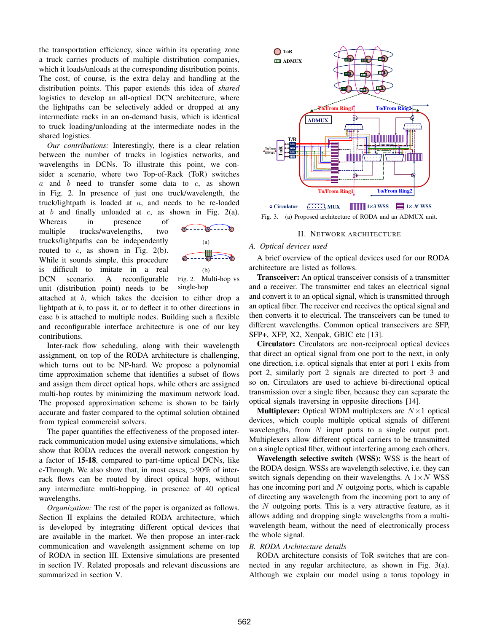the transportation efficiency, since within its operating zone a truck carries products of multiple distribution companies, which it loads/unloads at the corresponding distribution points. The cost, of course, is the extra delay and handling at the distribution points. This paper extends this idea of *shared* logistics to develop an all-optical DCN architecture, where the lightpaths can be selectively added or dropped at any intermediate racks in an on-demand basis, which is identical to truck loading/unloading at the intermediate nodes in the shared logistics.

*Our contributions:* Interestingly, there is a clear relation between the number of trucks in logistics networks, and wavelengths in DCNs. To illustrate this point, we consider a scenario, where two Top-of-Rack (ToR) switches  $a$  and  $b$  need to transfer some data to  $c$ , as shown in Fig. 2. In presence of just one truck/wavelength, the truck/lightpath is loaded at  $a$ , and needs to be re-loaded at b and finally unloaded at c, as shown in Fig. 2(a).

Whereas in presence of multiple trucks/wavelengths, two trucks/lightpaths can be independently routed to  $c$ , as shown in Fig. 2(b). While it sounds simple, this procedure is difficult to imitate in a real DCN scenario. A reconfigurable unit (distribution point) needs to be





attached at b, which takes the decision to either drop a lightpath at b, to pass it, or to deflect it to other directions in case b is attached to multiple nodes. Building such a flexible and reconfigurable interface architecture is one of our key contributions.

Inter-rack flow scheduling, along with their wavelength assignment, on top of the RODA architecture is challenging, which turns out to be NP-hard. We propose a polynomial time approximation scheme that identifies a subset of flows and assign them direct optical hops, while others are assigned multi-hop routes by minimizing the maximum network load. The proposed approximation scheme is shown to be fairly accurate and faster compared to the optimal solution obtained from typical commercial solvers.

The paper quantifies the effectiveness of the proposed interrack communication model using extensive simulations, which show that RODA reduces the overall network congestion by a factor of 15-18, compared to part-time optical DCNs, like c-Through. We also show that, in most cases,  $>90\%$  of interrack flows can be routed by direct optical hops, without any intermediate multi-hopping, in presence of 40 optical wavelengths.

*Organization:* The rest of the paper is organized as follows. Section II explains the detailed RODA architecture, which is developed by integrating different optical devices that are available in the market. We then propose an inter-rack communication and wavelength assignment scheme on top of RODA in section III. Extensive simulations are presented in section IV. Related proposals and relevant discussions are summarized in section V.



Fig. 3. (a) Proposed architecture of RODA and an ADMUX unit.

#### II. NETWORK ARCHITECTURE

## *A. Optical devices used*

A brief overview of the optical devices used for our RODA architecture are listed as follows.

Transceiver: An optical transceiver consists of a transmitter and a receiver. The transmitter end takes an electrical signal and convert it to an optical signal, which is transmitted through an optical fiber. The receiver end receives the optical signal and then converts it to electrical. The transceivers can be tuned to different wavelengths. Common optical transceivers are SFP, SFP+, XFP, X2, Xenpak, GBIC etc [13].

Circulator: Circulators are non-reciprocal optical devices that direct an optical signal from one port to the next, in only one direction, i.e. optical signals that enter at port 1 exits from port 2, similarly port 2 signals are directed to port 3 and so on. Circulators are used to achieve bi-directional optical transmission over a single fiber, because they can separate the optical signals traversing in opposite directions [14].

**Multiplexer:** Optical WDM multiplexers are  $N \times 1$  optical devices, which couple multiple optical signals of different wavelengths, from  $N$  input ports to a single output port. Multiplexers allow different optical carriers to be transmitted on a single optical fiber, without interfering among each others.

Wavelength selective switch (WSS): WSS is the heart of the RODA design. WSSs are wavelength selective, i.e. they can switch signals depending on their wavelengths. A  $1 \times N$  WSS has one incoming port and  $N$  outgoing ports, which is capable of directing any wavelength from the incoming port to any of the  $N$  outgoing ports. This is a very attractive feature, as it allows adding and dropping single wavelengths from a multiwavelength beam, without the need of electronically process the whole signal.

## *B. RODA Architecture details*

RODA architecture consists of ToR switches that are connected in any regular architecture, as shown in Fig. 3(a). Although we explain our model using a torus topology in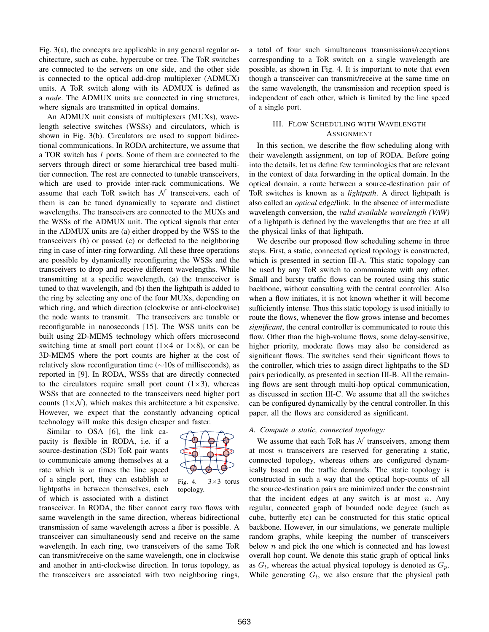Fig. 3(a), the concepts are applicable in any general regular architecture, such as cube, hypercube or tree. The ToR switches are connected to the servers on one side, and the other side is connected to the optical add-drop multiplexer (ADMUX) units. A ToR switch along with its ADMUX is defined as a *node*. The ADMUX units are connected in ring structures, where signals are transmitted in optical domains.

An ADMUX unit consists of multiplexers (MUXs), wavelength selective switches (WSSs) and circulators, which is shown in Fig. 3(b). Circulators are used to support bidirectional communications. In RODA architecture, we assume that a TOR switch has I ports. Some of them are connected to the servers through direct or some hierarchical tree based multitier connection. The rest are connected to tunable transceivers, which are used to provide inter-rack communications. We assume that each ToR switch has  $N$  transceivers, each of them is can be tuned dynamically to separate and distinct wavelengths. The transceivers are connected to the MUXs and the WSSs of the ADMUX unit. The optical signals that enter in the ADMUX units are (a) either dropped by the WSS to the transceivers (b) or passed (c) or deflected to the neighboring ring in case of inter-ring forwarding. All these three operations are possible by dynamically reconfiguring the WSSs and the transceivers to drop and receive different wavelengths. While transmitting at a specific wavelength, (a) the transceiver is tuned to that wavelength, and (b) then the lightpath is added to the ring by selecting any one of the four MUXs, depending on which ring, and which direction (clockwise or anti-clockwise) the node wants to transmit. The transceivers are tunable or reconfigurable in nanoseconds [15]. The WSS units can be built using 2D-MEMS technology which offers microsecond switching time at small port count  $(1\times4$  or  $1\times8)$ , or can be 3D-MEMS where the port counts are higher at the cost of relatively slow reconfiguration time (∼10s of milliseconds), as reported in [9]. In RODA, WSSs that are directly connected to the circulators require small port count  $(1\times3)$ , whereas WSSs that are connected to the transceivers need higher port counts  $(1\times\mathcal{N})$ , which makes this architecture a bit expensive. However, we expect that the constantly advancing optical technology will make this design cheaper and faster.

Similar to OSA [6], the link capacity is flexible in RODA, i.e. if a source-destination (SD) ToR pair wants to communicate among themselves at a rate which is  $w$  times the line speed of a single port, they can establish  $w$ lightpaths in between themselves, each of which is associated with a distinct

Fig. 4.  $3\times3$  torus topology.

transceiver. In RODA, the fiber cannot carry two flows with same wavelength in the same direction, whereas bidirectional transmission of same wavelength across a fiber is possible. A transceiver can simultaneously send and receive on the same wavelength. In each ring, two transceivers of the same ToR can transmit/receive on the same wavelength, one in clockwise and another in anti-clockwise direction. In torus topology, as the transceivers are associated with two neighboring rings, a total of four such simultaneous transmissions/receptions corresponding to a ToR switch on a single wavelength are possible, as shown in Fig. 4. It is important to note that even though a transceiver can transmit/receive at the same time on the same wavelength, the transmission and reception speed is independent of each other, which is limited by the line speed of a single port.

# III. FLOW SCHEDULING WITH WAVELENGTH ASSIGNMENT

In this section, we describe the flow scheduling along with their wavelength assignment, on top of RODA. Before going into the details, let us define few terminologies that are relevant in the context of data forwarding in the optical domain. In the optical domain, a route between a source-destination pair of ToR switches is known as a *lightpath*. A direct lightpath is also called an *optical* edge/link. In the absence of intermediate wavelength conversion, the *valid available wavelength (VAW)* of a lightpath is defined by the wavelengths that are free at all the physical links of that lightpath.

We describe our proposed flow scheduling scheme in three steps. First, a static, connected optical topology is constructed, which is presented in section III-A. This static topology can be used by any ToR switch to communicate with any other. Small and bursty traffic flows can be routed using this static backbone, without consulting with the central controller. Also when a flow initiates, it is not known whether it will become sufficiently intense. Thus this static topology is used initially to route the flows, whenever the flow grows intense and becomes *significant*, the central controller is communicated to route this flow. Other than the high-volume flows, some delay-sensitive, higher priority, moderate flows may also be considered as significant flows. The switches send their significant flows to the controller, which tries to assign direct lightpaths to the SD pairs periodically, as presented in section III-B. All the remaining flows are sent through multi-hop optical communication, as discussed in section III-C. We assume that all the switches can be configured dynamically by the central controller. In this paper, all the flows are considered as significant.

## *A. Compute a static, connected topology:*

We assume that each ToR has  $N$  transceivers, among them at most  $n$  transceivers are reserved for generating a static, connected topology, whereas others are configured dynamically based on the traffic demands. The static topology is constructed in such a way that the optical hop-counts of all the source-destination pairs are minimized under the constraint that the incident edges at any switch is at most  $n$ . Any regular, connected graph of bounded node degree (such as cube, butterfly etc) can be constructed for this static optical backbone. However, in our simulations, we generate multiple random graphs, while keeping the number of transceivers below  $n$  and pick the one which is connected and has lowest overall hop count. We denote this static graph of optical links as  $G_l$ , whereas the actual physical topology is denoted as  $G_p$ . While generating  $G_l$ , we also ensure that the physical path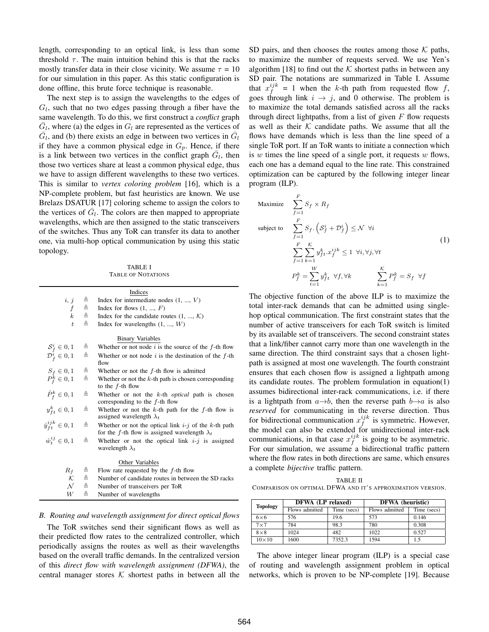length, corresponding to an optical link, is less than some threshold  $\tau$ . The main intuition behind this is that the racks mostly transfer data in their close vicinity. We assume  $\tau = 10$ for our simulation in this paper. As this static configuration is done offline, this brute force technique is reasonable.

The next step is to assign the wavelengths to the edges of  $G_l$ , such that no two edges passing through a fiber have the same wavelength. To do this, we first construct a *conflict* graph  $\overline{G}_l$ , where (a) the edges in  $G_l$  are represented as the vertices of  $\overline{G}_l$ , and (b) there exists an edge in between two vertices in  $\overline{G}_l$ if they have a common physical edge in  $G_p$ . Hence, if there is a link between two vertices in the conflict graph  $\bar{G}_l$ , then those two vertices share at least a common physical edge, thus we have to assign different wavelengths to these two vertices. This is similar to *vertex coloring problem* [16], which is a NP-complete problem, but fast heuristics are known. We use Brelazs DSATUR [17] coloring scheme to assign the colors to the vertices of  $\bar{G}_l$ . The colors are then mapped to appropriate wavelengths, which are then assigned to the static transceivers of the switches. Thus any ToR can transfer its data to another one, via multi-hop optical communication by using this static topology.

TABLE I TABLE OF NOTATIONS

|                                                                 |                                                                                 | Indices                                                                                                        |  |  |  |
|-----------------------------------------------------------------|---------------------------------------------------------------------------------|----------------------------------------------------------------------------------------------------------------|--|--|--|
| i, j                                                            | $\begin{array}{c} \triangle \\ \triangle \\ \triangle \\ \triangle \end{array}$ | Index for intermediate nodes $(1, , V)$                                                                        |  |  |  |
| $\boldsymbol{f}$                                                |                                                                                 | Index for flows $(1, , F)$                                                                                     |  |  |  |
|                                                                 |                                                                                 | Index for the candidate routes $(1, , K)$                                                                      |  |  |  |
| $\ddot{t}$                                                      | $\triangleq$                                                                    | Index for wavelengths $(1, , W)$                                                                               |  |  |  |
| <b>Binary Variables</b>                                         |                                                                                 |                                                                                                                |  |  |  |
| $S_f^i \in 0, 1$                                                | ≜                                                                               | Whether or not node $i$ is the source of the $f$ -th flow                                                      |  |  |  |
| $\mathcal{D}_f^i \in 0, 1$                                      | $\triangleq$                                                                    | Whether or not node $i$ is the destination of the $f$ -th<br>flow                                              |  |  |  |
|                                                                 |                                                                                 | Whether or not the $f$ -th flow is admitted                                                                    |  |  |  |
| $\begin{array}{c} S_f \in {0,1} \\ P_f^k \in {0,1} \end{array}$ | $\overset{\triangle}{=}$                                                        | Whether or not the $k$ -th path is chosen corresponding                                                        |  |  |  |
|                                                                 |                                                                                 | to the $f$ -th flow                                                                                            |  |  |  |
| $\mathring{P}_{f}^{k} \in 0,1$                                  | ≙                                                                               | Whether or not the $k$ -th <i>optical</i> path is chosen<br>corresponding to the $f$ -th flow                  |  |  |  |
| $y_{ft}^k \in 0, 1$                                             | ≜                                                                               | Whether or not the $k$ -th path for the $f$ -th flow is<br>assigned wavelength $\lambda_t$                     |  |  |  |
| $\mathring{y}_{ft}^{ijk} \in {0, 1}$                            | ≜                                                                               | Whether or not the optical link $i-j$ of the k-th path<br>for the f-th flow is assigned wavelength $\lambda_t$ |  |  |  |
| $\mathring{w}_t^{ij} \in 0,1$                                   | ≜                                                                               | Whether or not the optical link $i-j$ is assigned<br>wavelength $\lambda_t$                                    |  |  |  |
|                                                                 |                                                                                 | Other Variables                                                                                                |  |  |  |
| $R_f$                                                           |                                                                                 | Flow rate requested by the $f$ -th flow                                                                        |  |  |  |
| $\overline{\mathcal{K}}$                                        | $\triangleq$                                                                    | Number of candidate routes in between the SD racks                                                             |  |  |  |
| $\mathcal{N}$                                                   | $\triangleq$                                                                    | Number of transceivers per ToR                                                                                 |  |  |  |
| W                                                               | ≜                                                                               | Number of wavelengths                                                                                          |  |  |  |
|                                                                 |                                                                                 |                                                                                                                |  |  |  |

#### *B. Routing and wavelength assignment for direct optical flows*

The ToR switches send their significant flows as well as their predicted flow rates to the centralized controller, which periodically assigns the routes as well as their wavelengths based on the overall traffic demands. In the centralized version of this *direct flow with wavelength assignment (DFWA)*, the central manager stores  $K$  shortest paths in between all the SD pairs, and then chooses the routes among those  $K$  paths, to maximize the number of requests served. We use Yen's algorithm [18] to find out the  $K$  shortest paths in between any SD pair. The notations are summarized in Table I. Assume that  $x_j^{ijk} = 1$  when the k-th path from requested flow f, goes through link  $i \rightarrow j$ , and 0 otherwise. The problem is to maximize the total demands satisfied across all the racks through direct lightpaths, from a list of given  $F$  flow requests as well as their  $K$  candidate paths. We assume that all the flows have demands which is less than the line speed of a single ToR port. If an ToR wants to initiate a connection which is w times the line speed of a single port, it requests  $w$  flows, each one has a demand equal to the line rate. This constrained optimization can be captured by the following integer linear program (ILP).

Maximize 
$$
\sum_{f=1}^{F} S_f \times R_f
$$
  
\nsubject to 
$$
\sum_{f=1}^{F} S_f. (S_f^i + \mathcal{D}_f^i) \leq \mathcal{N} \ \forall i
$$

$$
\sum_{f=1}^{F} \sum_{k=1}^{K} y_{ft}^k \cdot x_f^{ijk} \leq 1 \ \forall i, \forall j, \forall t
$$

$$
P_f^k = \sum_{t=1}^{W} y_{ft}^k \ \forall f, \forall k \qquad \sum_{k=1}^{K} P_f^k = S_f \ \forall f
$$

The objective function of the above ILP is to maximize the total inter-rack demands that can be admitted using singlehop optical communication. The first constraint states that the number of active transceivers for each ToR switch is limited by its available set of transceivers. The second constraint states that a link/fiber cannot carry more than one wavelength in the same direction. The third constraint says that a chosen lightpath is assigned at most one wavelength. The fourth constraint ensures that each chosen flow is assigned a lightpath among its candidate routes. The problem formulation in equation(1) assumes bidirectional inter-rack communications, i.e. if there is a lightpath from  $a \rightarrow b$ , then the reverse path  $b \rightarrow a$  is also *reserved* for communicating in the reverse direction. Thus for bidirectional communication  $x_f^{ijk}$  is symmetric. However, the model can also be extended for unidirectional inter-rack communications, in that case  $x_f^{ijk}$  is going to be asymmetric. For our simulation, we assume a bidirectional traffic pattern where the flow rates in both directions are same, which ensures a complete *bijective* traffic pattern.

TABLE II COMPARISON ON OPTIMAL DFWA AND IT'S APPROXIMATION VERSION.

| <b>Topology</b> | DFWA (LP relaxed) |             | <b>DFWA</b> (heuristic) |             |  |
|-----------------|-------------------|-------------|-------------------------|-------------|--|
|                 | Flows admitted    | Time (secs) | Flows admitted          | Time (secs) |  |
| $6\times 6$     | 576               | 19.6        | 573                     | 0.146       |  |
| $7\times7$      | 784               | 98.3        | 780                     | 0.308       |  |
| $8\times8$      | 1024              | 482         | 1022                    | 0.527       |  |
| $10\times10$    | 1600              | 7352.3      | 1594                    | 1.5         |  |

The above integer linear program (ILP) is a special case of routing and wavelength assignment problem in optical networks, which is proven to be NP-complete [19]. Because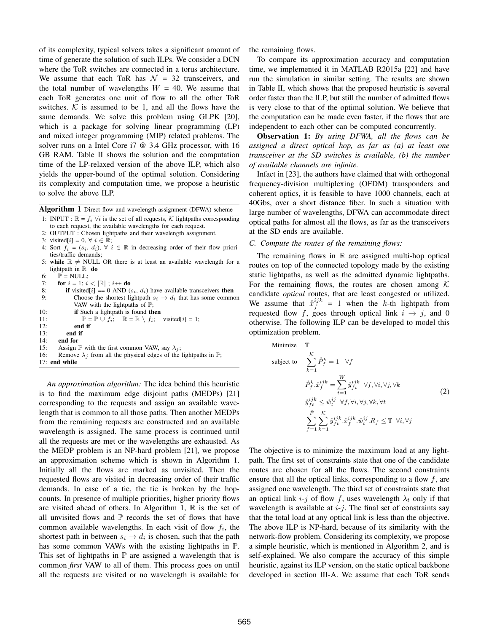of its complexity, typical solvers takes a significant amount of time of generate the solution of such ILPs. We consider a DCN where the ToR switches are connected in a torus architecture. We assume that each ToR has  $\mathcal{N} = 32$  transceivers, and the total number of wavelengths  $W = 40$ . We assume that each ToR generates one unit of flow to all the other ToR switches.  $K$  is assumed to be 1, and all the flows have the same demands. We solve this problem using GLPK [20], which is a package for solving linear programming (LP) and mixed integer programming (MIP) related problems. The solver runs on a Intel Core i7 @ 3.4 GHz processor, with 16 GB RAM. Table II shows the solution and the computation time of the LP-relaxed version of the above ILP, which also yields the upper-bound of the optimal solution. Considering its complexity and computation time, we propose a heuristic to solve the above ILP.

Algorithm 1 Direct flow and wavelength assignment (DFWA) scheme

1: INPUT :  $\mathbb{R} = f_i \; \forall i$  is the set of all requests, K lightpaths corresponding to each request, the available wavelengths for each request.

- 2: OUTPUT : Chosen lightpaths and their wavelength assignment.
- 3: visited[i] = 0,  $\forall$  i  $\in \mathbb{R}$ ;
- 4: Sort  $f_i = (s_i, d_i), \forall i \in \mathbb{R}$  in decreasing order of their flow priorities/traffic demands;
- 5: while  $\mathbb{R} \neq$  NULL OR there is at least an available wavelength for a lightpath in  $\mathbb R$  do
- 6:  $\mathbb{P} = \text{NULL}$ ;
- 7: **for**  $i = 1$ ;  $i < |\mathbb{R}|$ ;  $i++$  **do**
- 8: **if** visited[i] == 0 AND ( $s_i$ ,  $d_i$ ) have available transceivers **then** 9: Choose the shortest lightpath  $s_i \rightarrow d_i$  that has some common Choose the shortest lightpath  $s_i \rightarrow d_i$  that has some common VAW with the lightpaths of  $\mathbb{P}$ ;
- 10: **if** Such a lightpath is found **then**
- 11:  $\mathbb{P} = \mathbb{P} \cup f_i; \quad \mathbb{R} = \mathbb{R} \setminus f_i; \text{visited}[i] = 1;$ <br>12: **end if** end if
- 13: end if
- 14: end for
- 15: Assign P with the first common VAW, say  $\lambda_i$ ;
- 16: Remove  $\lambda_j$  from all the physical edges of the lightpaths in  $\mathbb{P}$ ;

17: end while

*An approximation algorithm:* The idea behind this heuristic is to find the maximum edge disjoint paths (MEDPs) [21] corresponding to the requests and assign an available wavelength that is common to all those paths. Then another MEDPs from the remaining requests are constructed and an available wavelength is assigned. The same process is continued until all the requests are met or the wavelengths are exhausted. As the MEDP problem is an NP-hard problem [21], we propose an approximation scheme which is shown in Algorithm 1. Initially all the flows are marked as unvisited. Then the requested flows are visited in decreasing order of their traffic demands. In case of a tie, the tie is broken by the hopcounts. In presence of multiple priorities, higher priority flows are visited ahead of others. In Algorithm 1,  $\mathbb R$  is the set of all unvisited flows and  $\mathbb P$  records the set of flows that have common available wavelengths. In each visit of flow  $f_i$ , the shortest path in between  $s_i \rightarrow d_i$  is chosen, such that the path has some common VAWs with the existing lightpaths in P. This set of lightpaths in  $\mathbb P$  are assigned a wavelength that is common *first* VAW to all of them. This process goes on until all the requests are visited or no wavelength is available for the remaining flows.

To compare its approximation accuracy and computation time, we implemented it in MATLAB R2015a [22] and have run the simulation in similar setting. The results are shown in Table II, which shows that the proposed heuristic is several order faster than the ILP, but still the number of admitted flows is very close to that of the optimal solution. We believe that the computation can be made even faster, if the flows that are independent to each other can be computed concurrently.

Observation 1: *By using DFWA, all the flows can be assigned a direct optical hop, as far as (a) at least one transceiver at the SD switches is available, (b) the number of available channels are infinite.*

Infact in [23], the authors have claimed that with orthogonal frequency-division multiplexing (OFDM) transponders and coherent optics, it is feasible to have 1000 channels, each at 40Gbs, over a short distance fiber. In such a situation with large number of wavelengths, DFWA can accommodate direct optical paths for almost all the flows, as far as the transceivers at the SD ends are available.

#### *C. Compute the routes of the remaining flows:*

The remaining flows in  $\mathbb R$  are assigned multi-hop optical routes on top of the connected topology made by the existing static lightpaths, as well as the admitted dynamic lightpaths. For the remaining flows, the routes are chosen among  $K$ candidate *optical* routes, that are least congested or utilized. We assume that  $\dot{x}^{ijk}_f = 1$  when the k-th lightpath from requested flow f, goes through optical link  $i \rightarrow j$ , and 0 otherwise. The following ILP can be developed to model this optimization problem.

Minimize 
$$
\mathbb{T}
$$
  
\nsubject to 
$$
\sum_{k=1}^{K} \mathring{P}_{f}^{k} = 1 \quad \forall f
$$
\n
$$
\mathring{P}_{f}^{k} \cdot \mathring{x}_{f}^{ijk} = \sum_{t=1}^{W} \mathring{y}_{ft}^{ijk} \quad \forall f, \forall i, \forall j, \forall k
$$
\n
$$
\mathring{y}_{ft}^{ijk} \leq \mathring{w}_{t}^{ij} \quad \forall f, \forall i, \forall j, \forall k, \forall t
$$
\n
$$
\sum_{f=1}^{F} \sum_{k=1}^{K} \mathring{y}_{ft}^{ijk} \cdot \mathring{x}_{f}^{ijk} \cdot \mathring{w}_{t}^{ij} \cdot R_{f} \leq \mathbb{T} \quad \forall i, \forall j
$$
\n(2)

The objective is to minimize the maximum load at any lightpath. The first set of constraints state that one of the candidate routes are chosen for all the flows. The second constraints ensure that all the optical links, corresponding to a flow  $f$ , are assigned one wavelength. The third set of constraints state that an optical link i-j of flow f, uses wavelength  $\lambda_t$  only if that wavelength is available at  $i-j$ . The final set of constraints say that the total load at any optical link is less than the objective. The above ILP is NP-hard, because of its similarity with the network-flow problem. Considering its complexity, we propose a simple heuristic, which is mentioned in Algorithm 2, and is self-explained. We also compare the accuracy of this simple heuristic, against its ILP version, on the static optical backbone developed in section III-A. We assume that each ToR sends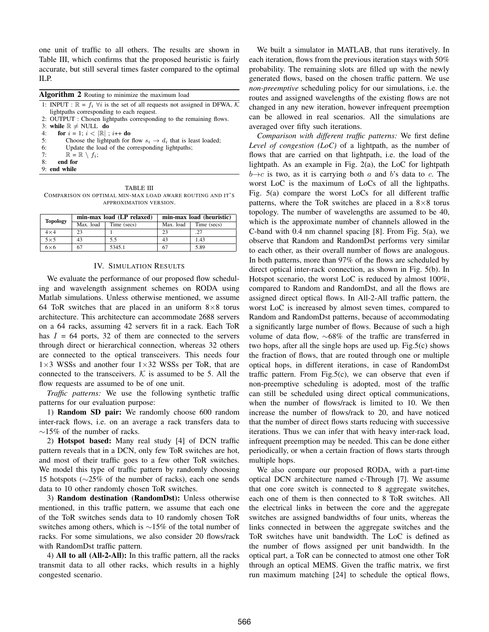one unit of traffic to all others. The results are shown in Table III, which confirms that the proposed heuristic is fairly accurate, but still several times faster compared to the optimal ILP.

| <b>Algorithm 2</b> Routing to minimize the maximum load                                      |  |  |  |  |
|----------------------------------------------------------------------------------------------|--|--|--|--|
| 1: INPUT : $\mathbb{R} = f_i \ \forall i$ is the set of all requests not assigned in DFWA, K |  |  |  |  |
| lightpaths corresponding to each request.                                                    |  |  |  |  |
| 2: OUTPUT : Chosen lightpaths corresponding to the remaining flows.                          |  |  |  |  |
| 3: while $\mathbb{R} \neq$ NULL do                                                           |  |  |  |  |
| for $i = 1$ ; $i <  \mathbb{R} $ ; $i++$ do<br>4:                                            |  |  |  |  |
| 5:<br>Choose the lightpath for flow $s_i \rightarrow d_i$ that is least loaded;              |  |  |  |  |
| 6:<br>Update the load of the corresponding lightpaths;                                       |  |  |  |  |
| $\mathbb{R} = \mathbb{R} \setminus f_i;$<br>7:                                               |  |  |  |  |
| 8:<br>end for                                                                                |  |  |  |  |
| 9: end while                                                                                 |  |  |  |  |
|                                                                                              |  |  |  |  |

TABLE III COMPARISON ON OPTIMAL MIN-MAX LOAD AWARE ROUTING AND IT'S APPROXIMATION VERSION.

| <b>Topology</b> |           | min-max load (LP relaxed) | min-max load (heuristic) |             |
|-----------------|-----------|---------------------------|--------------------------|-------------|
|                 | Max. load | Time (secs)               | Max. load                | Time (secs) |
| $4\times4$      | 23        |                           |                          | .27         |
| $5 \times 5$    | 43        | 5.5                       | 43                       | 1.43        |
| $6\times 6$     | 67        | 5345.1                    |                          | 5.89        |

#### IV. SIMULATION RESULTS

We evaluate the performance of our proposed flow scheduling and wavelength assignment schemes on RODA using Matlab simulations. Unless otherwise mentioned, we assume 64 ToR switches that are placed in an uniform  $8\times8$  torus architecture. This architecture can accommodate 2688 servers on a 64 racks, assuming 42 servers fit in a rack. Each ToR has  $I = 64$  ports, 32 of them are connected to the servers through direct or hierarchical connection, whereas 32 others are connected to the optical transceivers. This needs four  $1\times3$  WSSs and another four  $1\times32$  WSSs per ToR, that are connected to the transceivers.  $K$  is assumed to be 5. All the flow requests are assumed to be of one unit.

*Traffic patterns:* We use the following synthetic traffic patterns for our evaluation purpose:

1) Random SD pair: We randomly choose 600 random inter-rack flows, i.e. on an average a rack transfers data to  $\sim$ 15% of the number of racks.

2) Hotspot based: Many real study [4] of DCN traffic pattern reveals that in a DCN, only few ToR switches are hot, and most of their traffic goes to a few other ToR switches. We model this type of traffic pattern by randomly choosing 15 hotspots (∼25% of the number of racks), each one sends data to 10 other randomly chosen ToR switches.

3) Random destination (RandomDst): Unless otherwise mentioned, in this traffic pattern, we assume that each one of the ToR switches sends data to 10 randomly chosen ToR switches among others, which is ∼15% of the total number of racks. For some simulations, we also consider 20 flows/rack with RandomDst traffic pattern.

4) All to all (All-2-All): In this traffic pattern, all the racks transmit data to all other racks, which results in a highly congested scenario.

We built a simulator in MATLAB, that runs iteratively. In each iteration, flows from the previous iteration stays with 50% probability. The remaining slots are filled up with the newly generated flows, based on the chosen traffic pattern. We use *non-preemptive* scheduling policy for our simulations, i.e. the routes and assigned wavelengths of the existing flows are not changed in any new iteration, however infrequent preemption can be allowed in real scenarios. All the simulations are averaged over fifty such iterations.

*Comparison with different traffic patterns:* We first define *Level of congestion (LoC)* of a lightpath, as the number of flows that are carried on that lightpath, i.e. the load of the lightpath. As an example in Fig. 2(a), the LoC for lightpath  $b \rightarrow c$  is two, as it is carrying both a and b's data to c. The worst LoC is the maximum of LoCs of all the lightpaths. Fig. 5(a) compare the worst LoCs for all different traffic patterns, where the ToR switches are placed in a  $8\times 8$  torus topology. The number of wavelengths are assumed to be 40, which is the approximate number of channels allowed in the C-band with 0.4 nm channel spacing [8]. From Fig. 5(a), we observe that Random and RandomDst performs very similar to each other, as their overall number of flows are analogous. In both patterns, more than 97% of the flows are scheduled by direct optical inter-rack connection, as shown in Fig. 5(b). In Hotspot scenario, the worst LoC is reduced by almost 100%, compared to Random and RandomDst, and all the flows are assigned direct optical flows. In All-2-All traffic pattern, the worst LoC is increased by almost seven times, compared to Random and RandomDst patterns, because of accommodating a significantly large number of flows. Because of such a high volume of data flow, ∼68% of the traffic are transferred in two hops, after all the single hops are used up. Fig.5(c) shows the fraction of flows, that are routed through one or multiple optical hops, in different iterations, in case of RandomDst traffic pattern. From Fig.5 $(c)$ , we can observe that even if non-preemptive scheduling is adopted, most of the traffic can still be scheduled using direct optical communications, when the number of flows/rack is limited to 10. We then increase the number of flows/rack to 20, and have noticed that the number of direct flows starts reducing with successive iterations. Thus we can infer that with heavy inter-rack load, infrequent preemption may be needed. This can be done either periodically, or when a certain fraction of flows starts through multiple hops.

We also compare our proposed RODA, with a part-time optical DCN architecture named c-Through [7]. We assume that one core switch is connected to 8 aggregate switches, each one of them is then connected to 8 ToR switches. All the electrical links in between the core and the aggregate switches are assigned bandwidths of four units, whereas the links connected in between the aggregate switches and the ToR switches have unit bandwidth. The LoC is defined as the number of flows assigned per unit bandwidth. In the optical part, a ToR can be connected to atmost one other ToR through an optical MEMS. Given the traffic matrix, we first run maximum matching [24] to schedule the optical flows,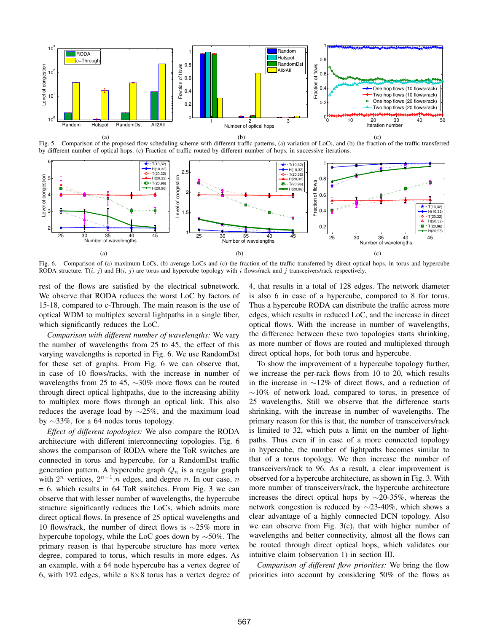

(a) Fig. 5. Comparison of the proposed flow scheduling scheme with different traffic patterns, (a) variation of LoCs, and (b) the fraction of the traffic transferred by different number of optical hops. (c) Fraction of traffic routed by different number of hops, in successive iterations.



Fig. 6. Comparison of (a) maximum LoCs, (b) average LoCs and (c) the fraction of the traffic transferred by direct optical hops, in torus and hypercube RODA structure. T(i, j) and H(i, j) are torus and hypercube topology with i flows/rack and j transceivers/rack respectively.

rest of the flows are satisfied by the electrical subnetwork. We observe that RODA reduces the worst LoC by factors of 15-18, compared to c-Through. The main reason is the use of optical WDM to multiplex several lightpaths in a single fiber, which significantly reduces the LoC.

*Comparison with different number of wavelengths:* We vary the number of wavelengths from 25 to 45, the effect of this varying wavelengths is reported in Fig. 6. We use RandomDst for these set of graphs. From Fig. 6 we can observe that, in case of 10 flows/racks, with the increase in number of wavelengths from 25 to 45, ∼30% more flows can be routed through direct optical lightpaths, due to the increasing ability to multiplex more flows through an optical link. This also reduces the average load by ∼25%, and the maximum load by ∼33%, for a 64 nodes torus topology.

*Effect of different topologies:* We also compare the RODA architecture with different interconnecting topologies. Fig. 6 shows the comparison of RODA where the ToR switches are connected in torus and hypercube, for a RandomDst traffic generation pattern. A hypercube graph  $Q_n$  is a regular graph with  $2^n$  vertices,  $2^{n-1} \cdot n$  edges, and degree n. In our case, n = 6, which results in 64 ToR switches. From Fig. 3 we can observe that with lesser number of wavelengths, the hypercube structure significantly reduces the LoCs, which admits more direct optical flows. In presence of 25 optical wavelengths and 10 flows/rack, the number of direct flows is ∼25% more in hypercube topology, while the LoC goes down by ∼50%. The primary reason is that hypercube structure has more vertex degree, compared to torus, which results in more edges. As an example, with a 64 node hypercube has a vertex degree of 6, with 192 edges, while a  $8\times 8$  torus has a vertex degree of 4, that results in a total of 128 edges. The network diameter is also 6 in case of a hypercube, compared to 8 for torus. Thus a hypercube RODA can distribute the traffic across more edges, which results in reduced LoC, and the increase in direct optical flows. With the increase in number of wavelengths, the difference between these two topologies starts shrinking, as more number of flows are routed and multiplexed through direct optical hops, for both torus and hypercube.

To show the improvement of a hypercube topology further, we increase the per-rack flows from 10 to 20, which results in the increase in ∼12% of direct flows, and a reduction of  $\sim$ 10% of network load, compared to torus, in presence of 25 wavelengths. Still we observe that the difference starts shrinking, with the increase in number of wavelengths. The primary reason for this is that, the number of transceivers/rack is limited to 32, which puts a limit on the number of lightpaths. Thus even if in case of a more connected topology in hypercube, the number of lightpaths becomes similar to that of a torus topology. We then increase the number of transceivers/rack to 96. As a result, a clear improvement is observed for a hypercube architecture, as shown in Fig. 3. With more number of transceivers/rack, the hypercube architecture increases the direct optical hops by ∼20-35%, whereas the network congestion is reduced by ∼23-40%, which shows a clear advantage of a highly connected DCN topology. Also we can observe from Fig. 3(c), that with higher number of wavelengths and better connectivity, almost all the flows can be routed through direct optical hops, which validates our intuitive claim (observation 1) in section III.

*Comparison of different flow priorities:* We bring the flow priorities into account by considering 50% of the flows as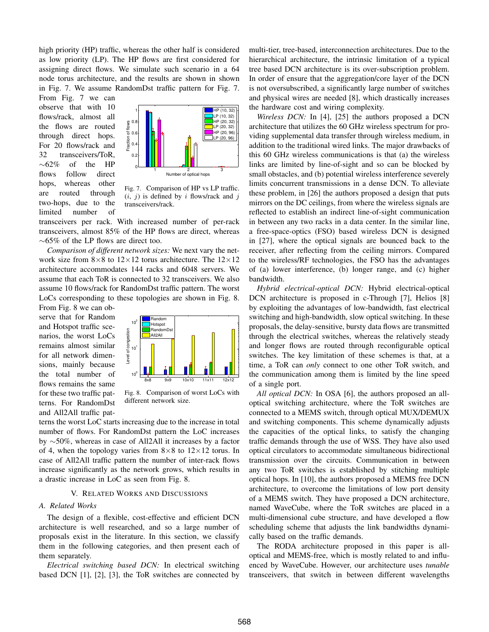high priority (HP) traffic, whereas the other half is considered as low priority (LP). The HP flows are first considered for assigning direct flows. We simulate such scenario in a 64 node torus architecture, and the results are shown in shown in Fig. 7. We assume RandomDst traffic pattern for Fig. 7.

From Fig. 7 we can observe that with 10 flows/rack, almost all the flows are routed through direct hops. For 20 flows/rack and 32 transceivers/ToR,  $\sim 62\%$  of the HP flows follow direct hops, whereas other are routed through two-hops, due to the limited number of



Fig. 7. Comparison of HP vs LP traffic.  $(i, j)$  is defined by i flows/rack and j transceivers/rack.

transceivers per rack. With increased number of per-rack transceivers, almost 85% of the HP flows are direct, whereas ∼65% of the LP flows are direct too.

*Comparison of different network sizes:* We next vary the network size from  $8\times 8$  to  $12\times 12$  torus architecture. The  $12\times 12$ architecture accommodates 144 racks and 6048 servers. We assume that each ToR is connected to 32 transceivers. We also assume 10 flows/rack for RandomDst traffic pattern. The worst LoCs corresponding to these topologies are shown in Fig. 8.

From Fig. 8 we can observe that for Random and Hotspot traffic scenarios, the worst LoCs remains almost similar for all network dimensions, mainly because the total number of flows remains the same for these two traffic patterns. For RandomDst and All2All traffic pat-



Fig. 8. Comparison of worst LoCs with different network size.

terns the worst LoC starts increasing due to the increase in total number of flows. For RandomDst pattern the LoC increases by ∼50%, whereas in case of All2All it increases by a factor of 4, when the topology varies from  $8\times 8$  to  $12\times 12$  torus. In case of All2All traffic pattern the number of inter-rack flows increase significantly as the network grows, which results in a drastic increase in LoC as seen from Fig. 8.

### V. RELATED WORKS AND DISCUSSIONS

#### *A. Related Works*

The design of a flexible, cost-effective and efficient DCN architecture is well researched, and so a large number of proposals exist in the literature. In this section, we classify them in the following categories, and then present each of them separately.

*Electrical switching based DCN:* In electrical switching based DCN [1], [2], [3], the ToR switches are connected by multi-tier, tree-based, interconnection architectures. Due to the hierarchical architecture, the intrinsic limitation of a typical tree based DCN architecture is its over-subscription problem. In order of ensure that the aggregation/core layer of the DCN is not oversubscribed, a significantly large number of switches and physical wires are needed [8], which drastically increases the hardware cost and wiring complexity.

*Wireless DCN:* In [4], [25] the authors proposed a DCN architecture that utilizes the 60 GHz wireless spectrum for providing supplemental data transfer through wireless medium, in addition to the traditional wired links. The major drawbacks of this 60 GHz wireless communications is that (a) the wireless links are limited by line-of-sight and so can be blocked by small obstacles, and (b) potential wireless interference severely limits concurrent transmissions in a dense DCN. To alleviate these problem, in [26] the authors proposed a design that puts mirrors on the DC ceilings, from where the wireless signals are reflected to establish an indirect line-of-sight communication in between any two racks in a data center. In the similar line, a free-space-optics (FSO) based wireless DCN is designed in [27], where the optical signals are bounced back to the receiver, after reflecting from the ceiling mirrors. Compared to the wireless/RF technologies, the FSO has the advantages of (a) lower interference, (b) longer range, and (c) higher bandwidth.

*Hybrid electrical-optical DCN:* Hybrid electrical-optical DCN architecture is proposed in c-Through [7], Helios [8] by exploiting the advantages of low-bandwidth, fast electrical switching and high-bandwidth, slow optical switching. In these proposals, the delay-sensitive, bursty data flows are transmitted through the electrical switches, whereas the relatively steady and longer flows are routed through reconfigurable optical switches. The key limitation of these schemes is that, at a time, a ToR can *only* connect to one other ToR switch, and the communication among them is limited by the line speed of a single port.

*All optical DCN:* In OSA [6], the authors proposed an alloptical switching architecture, where the ToR switches are connected to a MEMS switch, through optical MUX/DEMUX and switching components. This scheme dynamically adjusts the capacities of the optical links, to satisfy the changing traffic demands through the use of WSS. They have also used optical circulators to accommodate simultaneous bidirectional transmission over the circuits. Communication in between any two ToR switches is established by stitching multiple optical hops. In [10], the authors proposed a MEMS free DCN architecture, to overcome the limitations of low port density of a MEMS switch. They have proposed a DCN architecture, named WaveCube, where the ToR switches are placed in a multi-dimensional cube structure, and have developed a flow scheduling scheme that adjusts the link bandwidths dynamically based on the traffic demands.

The RODA architecture proposed in this paper is alloptical and MEMS-free, which is mostly related to and influenced by WaveCube. However, our architecture uses *tunable* transceivers, that switch in between different wavelengths